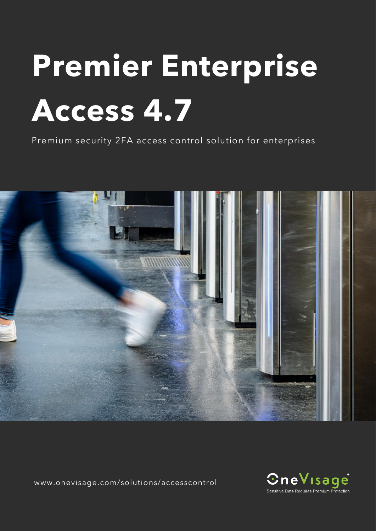# **Premier Enterprise Access 4.7**

Premium security 2FA access control solution for enterprises



www.onevisage.com/solutions/accesscontrol

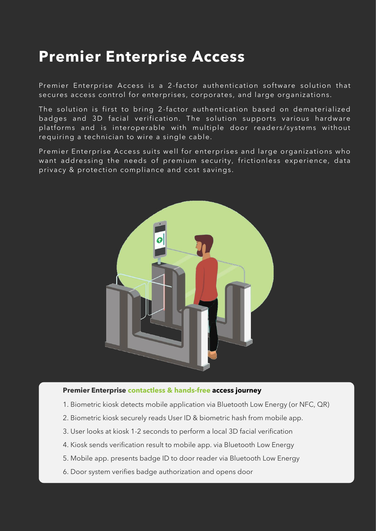## **Premier Enterprise Access**

Premier Enterprise Access is a 2-factor authentication software solution that secures access control for enterprises, corporates, and large organizations.

The solution is first to bring 2-factor authentication based on dematerialized badges and 3D facial verification. The solution supports various hardware platforms and is interoperable with multiple door readers/systems without requiring a technician to wire a single cable.

Premier Enterprise Access suits well for enterprises and large organizations who want addressing the needs of premium security, frictionless experience, data privacy & protection compliance and cost savings.



#### **Premier Enterprise contactless & hands-free access journey**

- 1. Biometric kiosk detects mobile application via Bluetooth Low Energy (or NFC, QR)
- 2. Biometric kiosk securely reads User ID & biometric hash from mobile app.
- 3. User looks at kiosk 1-2 seconds to perform a local 3D facial verification
- 4. Kiosk sends verification result to mobile app. via Bluetooth Low Energy
- 5. Mobile app. presents badge ID to door reader via Bluetooth Low Energy
- 6. Door system verifies badge authorization and opens door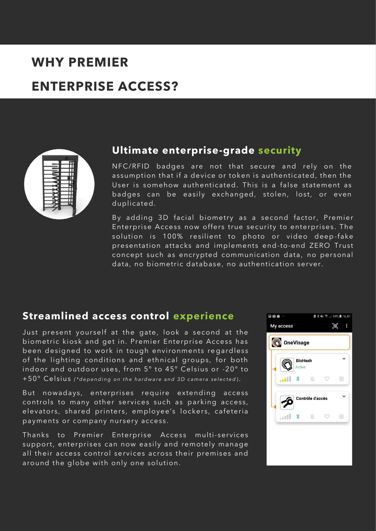## **WHY PREMIER**

## **ENTERPRISE ACCESS?**



#### **Ultimate enterprise-grade security**

NFC/RFID badges are not that secure and rely on the assumption that if a device or token is authenticated, then the User is somehow authenticated. This is a false statement as badges can be easily exchanged, stolen, lost, or even duplicated.

By adding 3D facial biometry as a second factor, Premier Enterprise Access now offers true security to enterprises . The solution is 100% resilient to photo or video deep-fake presentation attacks and implements end-to-end ZERO Trust concept such as encrypted communication data, no personal data, no biometric database, no authentication server.

#### **Streamlined access control experience**

Just present yourself at the gate, look a second at the biometric kiosk and get in. Premier Enterprise Access has been designed to work in tough environments re gardless of the lighting conditions and ethnical groups, for both indoor and outdoor uses, from 5° to 45° Celsius or -20° to +50° Celsius *(\*depending on the hardware and 3D camera selected)*.

But nowadays, enterprises require extending access controls to many other services such as parking access, elevators, shared printers, employee's lockers, cafeteria payments or company nursery access .

Thanks to Premier Enterprise Access multi-services support, enterprises can now easily and remotely manage all their access control services across their premises and around the globe with only one solution.

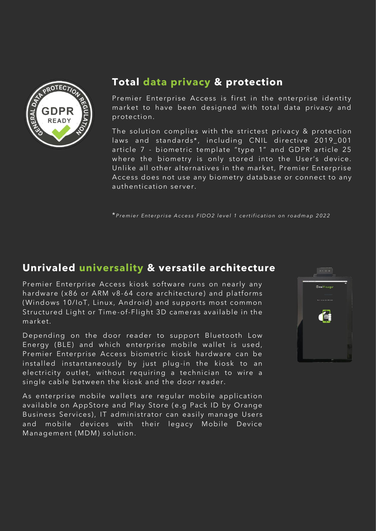

#### **Total data privacy & protection**

Premier Enterprise Access is first in the enterprise identity market to have been designed with total data privacy and protection.

The solution complies with the strictest privacy & protection laws and standards\*, including CNIL directive 2019\_001 article 7 - biometric template "type 1" and GDPR article 25 where the biometry is only stored into the User's device. Unlike all other alternatives in the market, Premier Enterprise Access does not use any biometry database or connect to any authentication server.

\* *P r e m i e r E n t e r p r i s e A c c e s s F I D O 2 l e v e l 1 c e r t i f i c a t i o n o n r o a d m a p 2 0 2 2*

#### **Unrivaled universality & versatile architecture**

Premier Enterprise Access kiosk software runs on nearly any hardware (x86 or ARM v8-64 core architecture) and platforms (Windows 10/IoT, Linux, Android) and supports most common Structured Light or Time-of-Flight 3D cameras available in the market.

Depending on the door reader to support Bluetooth Low Energy (BLE) and which enterprise mobile wallet is used, Premier Enterprise Access biometric kiosk hardware can be installed instantaneously by just plug-in the kiosk to an electricity outlet, without requiring a technician to wire a single cable between the kiosk and the door reader.

As enterprise mobile wallets are regular mobile application available on AppStore and Play Store (e.g Pack ID by Orange Business Services), IT administrator can easily manage Users and mobile devices with their legacy Mobile Device Management (MDM) solution.

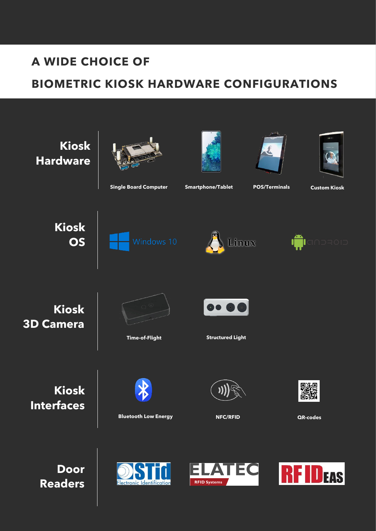## **A WIDE CHOICE OF**

## **BIOMETRIC KIOSK HARDWARE CONFIGURATIONS**

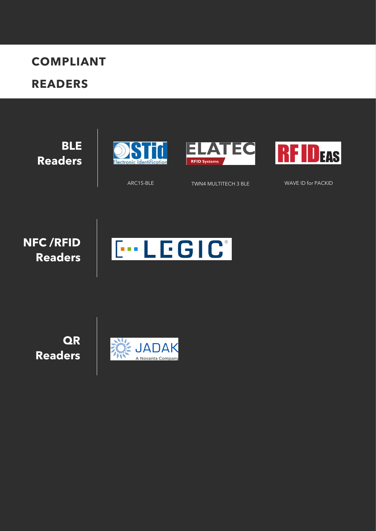# **COMPLIANT**

## **READERS**

**BLE Readers**







ARC1S-BLE TWN4 MULTITECH 3 BLE WAVE ID for PACKID

**NFC /RFID Readers**



**QR Readers**

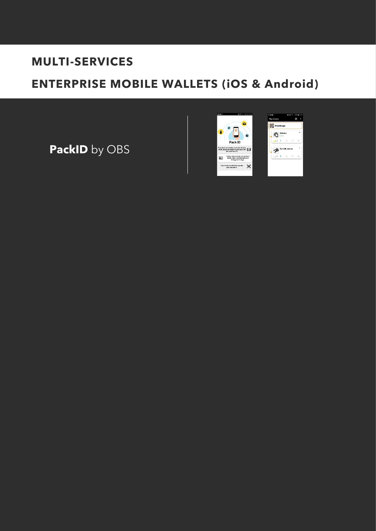## **MULTI-SERVICES**

## **ENTERPRISE MOBILE WALLETS (iOS & Android)**

**PackID** by OBS